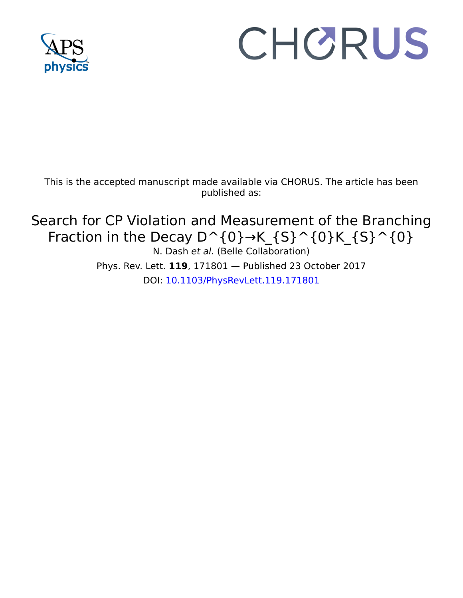

## CHORUS

This is the accepted manuscript made available via CHORUS. The article has been published as:

Search for CP Violation and Measurement of the Branching Fraction in the Decay  $D^{\wedge} \{0\} \rightarrow K_{S}^{(0)}(0)K_{S}^{(0)}(0)$ N. Dash et al. (Belle Collaboration) Phys. Rev. Lett. **119**, 171801 — Published 23 October 2017

DOI: [10.1103/PhysRevLett.119.171801](http://dx.doi.org/10.1103/PhysRevLett.119.171801)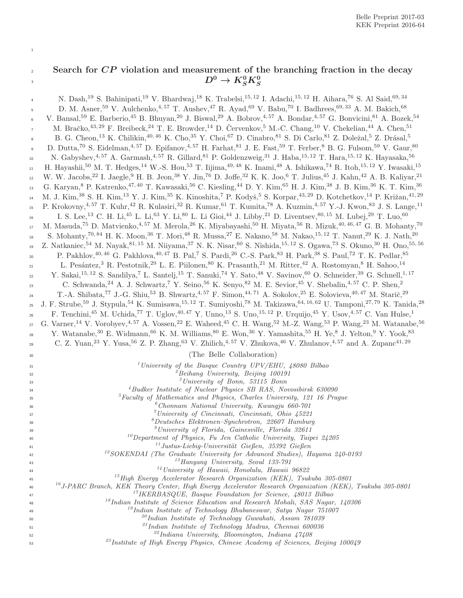## $22$  Search for  $\overline{CP}$  violation and measurement of the branching fraction in the decay  $D^0 \rightarrow K^0_S K^0_S$ 3

1

| $\overline{4}$ | N. Dash, <sup>19</sup> S. Bahinipati, <sup>19</sup> V. Bhardwaj, <sup>18</sup> K. Trabelsi, <sup>15, 12</sup> I. Adachi, <sup>15, 12</sup> H. Aihara, <sup>76</sup> S. Al Said, <sup>69,34</sup>                                 |
|----------------|----------------------------------------------------------------------------------------------------------------------------------------------------------------------------------------------------------------------------------|
| $\,$ 5         | D. M. Asner, <sup>59</sup> V. Aulchenko, <sup>4,57</sup> T. Aushev, <sup>47</sup> R. Ayad, <sup>69</sup> V. Babu, <sup>70</sup> I. Badhrees, <sup>69,33</sup> A. M. Bakich, <sup>68</sup>                                        |
| $\,$ 6 $\,$    | V. Bansal, <sup>59</sup> E. Barberio, <sup>45</sup> B. Bhuyan, <sup>20</sup> J. Biswal, <sup>29</sup> A. Bobrov, <sup>4,57</sup> A. Bondar, <sup>4,57</sup> G. Bonvicini, <sup>81</sup> A. Bozek, <sup>54</sup>                  |
| $\overline{7}$ | M. Bračko, <sup>43, 29</sup> F. Breibeck, <sup>24</sup> T. E. Browder, <sup>14</sup> D. Červenkov, <sup>5</sup> M.-C. Chang, <sup>10</sup> V. Chekelian, <sup>44</sup> A. Chen, <sup>51</sup>                                    |
| 8              | B. G. Cheon, <sup>13</sup> K. Chilikin, <sup>40,46</sup> K. Cho, <sup>35</sup> Y. Choi, <sup>67</sup> D. Cinabro, <sup>81</sup> S. Di Carlo, <sup>81</sup> Z. Doležal, <sup>5</sup> Z. Drásal, <sup>5</sup>                      |
| 9              | D. Dutta, <sup>70</sup> S. Eidelman, <sup>4,57</sup> D. Epifanov, <sup>4,57</sup> H. Farhat, <sup>81</sup> J. E. Fast, <sup>59</sup> T. Ferber, <sup>8</sup> B. G. Fulsom, <sup>59</sup> V. Gaur, <sup>80</sup>                  |
| 10             | N. Gabyshev, 4,57 A. Garmash, 4,57 R. Gillard, 81 P. Goldenzweig, 31 J. Haba, $^{15,12}$ T. Hara, $^{15,12}$ K. Hayasaka, $^{56}$                                                                                                |
| $11\,$         | H. Hayashii, <sup>50</sup> M. T. Hedges, <sup>14</sup> W.-S. Hou, <sup>53</sup> T. Iijima, <sup>49,48</sup> K. Inami, <sup>48</sup> A. Ishikawa, <sup>74</sup> R. Itoh, <sup>15,12</sup> Y. Iwasaki, <sup>15</sup>               |
| 12             | W. W. Jacobs, <sup>22</sup> I. Jaegle, <sup>9</sup> H. B. Jeon, <sup>38</sup> Y. Jin, <sup>76</sup> D. Joffe, <sup>32</sup> K. K. Joo, <sup>6</sup> T. Julius, <sup>45</sup> J. Kahn, <sup>42</sup> A. B. Kaliyar, <sup>21</sup> |
| 13             | G. Karyan, <sup>8</sup> P. Katrenko, <sup>47, 40</sup> T. Kawasaki, <sup>56</sup> C. Kiesling, <sup>44</sup> D. Y. Kim, <sup>65</sup> H. J. Kim, <sup>38</sup> J. B. Kim, <sup>36</sup> K. T. Kim, <sup>36</sup>                 |
| 14             | M. J. Kim, <sup>38</sup> S. H. Kim, <sup>13</sup> Y. J. Kim, <sup>35</sup> K. Kinoshita, <sup>7</sup> P. Kodyš, <sup>5</sup> S. Korpar, <sup>43, 29</sup> D. Kotchetkov, <sup>14</sup> P. Križan, <sup>41, 29</sup>              |
| 15             | P. Krokovny, <sup>4,57</sup> T. Kuhr, <sup>42</sup> R. Kulasiri, <sup>32</sup> R. Kumar, <sup>61</sup> T. Kumita, <sup>78</sup> A. Kuzmin, <sup>4,57</sup> Y.-J. Kwon, <sup>83</sup> J. S. Lange, <sup>11</sup>                  |
|                | I. S. Lee, <sup>13</sup> C. H. Li, <sup>45</sup> L. Li, <sup>63</sup> Y. Li, <sup>80</sup> L. Li Gioi, <sup>44</sup> J. Libby, <sup>21</sup> D. Liventsev, <sup>80, 15</sup> M. Lubej, <sup>29</sup> T. Luo, <sup>60</sup>       |
| 16             | M. Masuda, <sup>75</sup> D. Matvienko, <sup>4,57</sup> M. Merola, <sup>26</sup> K. Miyabayashi, <sup>50</sup> H. Miyata, <sup>56</sup> R. Mizuk, <sup>40,46,47</sup> G. B. Mohanty, <sup>70</sup>                                |
| $17\,$         | S. Mohanty, <sup>70,84</sup> H. K. Moon, <sup>36</sup> T. Mori, <sup>48</sup> R. Mussa, <sup>27</sup> E. Nakano, <sup>58</sup> M. Nakao, <sup>15,12</sup> T. Nanut, <sup>29</sup> K. J. Nath, <sup>20</sup>                      |
| 18             |                                                                                                                                                                                                                                  |
| 19             | Z. Natkaniec, <sup>54</sup> M. Nayak, <sup>81,15</sup> M. Niiyama, <sup>37</sup> N. K. Nisar, <sup>60</sup> S. Nishida, <sup>15,12</sup> S. Ogawa, <sup>73</sup> S. Okuno, <sup>30</sup> H. Ono, <sup>55,56</sup>                |
| 20             | P. Pakhlov, <sup>40, 46</sup> G. Pakhlova, <sup>40, 47</sup> B. Pal, <sup>7</sup> S. Pardi, <sup>26</sup> C.-S. Park, <sup>83</sup> H. Park, <sup>38</sup> S. Paul, <sup>72</sup> T. K. Pedlar, <sup>85</sup>                    |
| 21             | L. Pesántez, <sup>3</sup> R. Pestotnik, <sup>29</sup> L. E. Piilonen, <sup>80</sup> K. Prasanth, <sup>21</sup> M. Ritter, <sup>42</sup> A. Rostomyan, <sup>8</sup> H. Sahoo, <sup>14</sup>                                       |
| 22             | Y. Sakai, <sup>15, 12</sup> S. Sandilya, <sup>7</sup> L. Santelj, <sup>15</sup> T. Sanuki, <sup>74</sup> Y. Sato, <sup>48</sup> V. Savinov, <sup>60</sup> O. Schneider, <sup>39</sup> G. Schnell, <sup>1, 17</sup>               |
| 23             | C. Schwanda, <sup>24</sup> A. J. Schwartz, <sup>7</sup> Y. Seino, <sup>56</sup> K. Senyo, <sup>82</sup> M. E. Sevior, <sup>45</sup> V. Shebalin, <sup>4, 57</sup> C. P. Shen, <sup>2</sup>                                       |
| 24             | T.-A. Shibata, <sup>77</sup> J.-G. Shiu, <sup>53</sup> B. Shwartz, <sup>4,57</sup> F. Simon, <sup>44,71</sup> A. Sokolov, <sup>25</sup> E. Solovieva, <sup>40,47</sup> M. Starič, <sup>29</sup>                                  |
| 25             | J. F. Strube, <sup>59</sup> J. Stypula, <sup>54</sup> K. Sumisawa, <sup>15,12</sup> T. Sumiyoshi, <sup>78</sup> M. Takizawa, <sup>64,16,62</sup> U. Tamponi, <sup>27,79</sup> K. Tanida, <sup>28</sup>                           |
| 26             | F. Tenchini, <sup>45</sup> M. Uchida, <sup>77</sup> T. Uglov, <sup>40,47</sup> Y. Unno, <sup>13</sup> S. Uno, <sup>15,12</sup> P. Urquijo, <sup>45</sup> Y. Usov, <sup>4,57</sup> C. Van Hulse, <sup>1</sup>                     |
| 27             | G. Varner, <sup>14</sup> V. Vorobyev, <sup>4, 57</sup> A. Vossen, <sup>22</sup> E. Waheed, <sup>45</sup> C. H. Wang, <sup>52</sup> M.-Z. Wang, <sup>53</sup> P. Wang, <sup>23</sup> M. Watanabe, <sup>56</sup>                   |
| 28             | Y. Watanabe, <sup>30</sup> E. Widmann, <sup>66</sup> K. M. Williams, <sup>80</sup> E. Won, <sup>36</sup> Y. Yamashita, <sup>55</sup> H. Ye, <sup>8</sup> J. Yelton, <sup>9</sup> Y. Yook, <sup>83</sup>                          |
| 29             | C. Z. Yuan, <sup>23</sup> Y. Yusa, <sup>56</sup> Z. P. Zhang, <sup>63</sup> V. Zhilich, <sup>4,57</sup> V. Zhukova, <sup>46</sup> V. Zhulanov, <sup>4,57</sup> and A. Zupanc <sup>41,29</sup>                                    |
| 30             | (The Belle Collaboration)                                                                                                                                                                                                        |
| 31             | <sup>1</sup> University of the Basque Country UPV/EHU, $48080$ Bilbao                                                                                                                                                            |
| 32             | <sup>2</sup> Beihang University, Beijing 100191                                                                                                                                                                                  |
| 33             | ${}^{3}$ University of Bonn, 53115 Bonn                                                                                                                                                                                          |
| 34             | $4$ Budker Institute of Nuclear Physics SB RAS, Novosibirsk 630090<br>${}^{5}$ Faculty of Mathematics and Physics, Charles University, 121 16 Prague                                                                             |
| 35             | $^{6}$ Chonnam National University, Kwangju 660-701                                                                                                                                                                              |
| 36<br>37       | <sup>7</sup> University of Cincinnati, Cincinnati, Ohio 45221                                                                                                                                                                    |
| 38             | ${}^8$ Deutsches Elektronen-Synchrotron, 22607 Hamburg                                                                                                                                                                           |
| 39             | <sup>9</sup> University of Florida, Gainesville, Florida 32611                                                                                                                                                                   |
| 40             | $^{10}$ Department of Physics, Fu Jen Catholic University, Taipei 24205                                                                                                                                                          |
| 41             | $^{11}$ Justus-Liebig-Universität Gießen, 35392 Gießen<br>$12$ SOKENDAI (The Graduate University for Advanced Studies), Hayama 240-0193                                                                                          |
| 42<br>43       | $^{13}$ Hanyang University, Seoul 133-791                                                                                                                                                                                        |
| 44             | $14$ University of Hawaii, Honolulu, Hawaii 96822                                                                                                                                                                                |
| 45             | $15$ High Energy Accelerator Research Organization (KEK), Tsukuba 305-0801                                                                                                                                                       |
| 46             | <sup>16</sup> J-PARC Branch, KEK Theory Center, High Energy Accelerator Research Organization (KEK), Tsukuba 305-0801                                                                                                            |
| 47             | $17$ IKERBASQUE, Basque Foundation for Science, 48013 Bilbao                                                                                                                                                                     |
| 48             | <sup>18</sup> Indian Institute of Science Education and Research Mohali, SAS Nagar, 140306                                                                                                                                       |
| 49             | $19$ Indian Institute of Technology Bhubaneswar, Satya Nagar 751007<br><sup>20</sup> Indian Institute of Technology Guwahati, Assam 781039                                                                                       |
| 50<br>51       | $^{21}$ Indian Institute of Technology Madras, Chennai 600036                                                                                                                                                                    |
| 52             | <sup>22</sup> Indiana University, Bloomington, Indiana $47408$                                                                                                                                                                   |
| 53             | <sup>23</sup> Institute of High Energy Physics, Chinese Academy of Sciences, Beijing 100049                                                                                                                                      |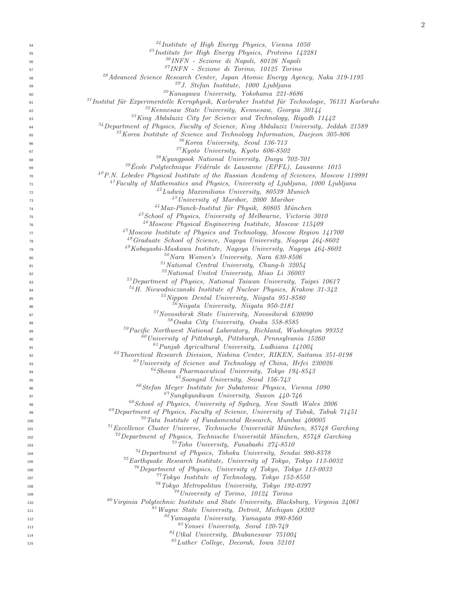| 54       | <sup>24</sup> Institute of High Energy Physics, Vienna 1050                                       |
|----------|---------------------------------------------------------------------------------------------------|
| 55       | $^{25}$ Institute for High Energy Physics, Protvino 142281                                        |
| 56       | <sup>26</sup> INFN - Sezione di Napoli, 80126 Napoli                                              |
| 57       | <sup>27</sup> INFN - Sezione di Torino, 10125 Torino                                              |
| 58       | <sup>28</sup> Advanced Science Research Center, Japan Atomic Energy Agency, Naka 319-1195         |
| 59       | <sup>29</sup> J. Stefan Institute, 1000 Ljubljana                                                 |
| 60       | $30K$ anagawa University, Yokohama 221-8686                                                       |
| 61       | $31$ Institut für Experimentelle Kernphysik, Karlsruher Institut für Technologie, 76131 Karlsruhe |
| 62       | $32$ Kennesaw State University, Kennesaw, Georgia 30144                                           |
| 63       | $33$ King Abdulaziz City for Science and Technology, Riyadh 11442                                 |
| 64       | $34$ Department of Physics, Faculty of Science, King Abdulaziz University, Jeddah 21589           |
|          | $35$ Korea Institute of Science and Technology Information, Daejeon $305-806$                     |
| 65       | $36$ Korea University, Seoul 136-713                                                              |
| 66       | $37$ Kyoto University, Kyoto 606-8502                                                             |
| 67       | <sup>38</sup> Kyungpook National University, Daegu 702-701                                        |
| 68       | $39\text{École Polytechnique Fédérale de Lausanne (EPFL), Lausanne 1015$                          |
| 69       |                                                                                                   |
| 70       | $^{40}P.N.$ Lebedev Physical Institute of the Russian Academy of Sciences, Moscow 119991          |
| 71       | $^{41}$ Faculty of Mathematics and Physics, University of Ljubljana, 1000 Ljubljana               |
| 72       | $^{42}$ Ludwig Maximilians University, 80539 Munich                                               |
| 73       | $^{43}$ University of Maribor, 2000 Maribor                                                       |
| 74       | <sup>44</sup> Max-Planck-Institut für Physik, 80805 München                                       |
| 75       | <sup>45</sup> School of Physics, University of Melbourne, Victoria 3010                           |
| 76       | $^{46}$ Moscow Physical Engineering Institute, Moscow 115409                                      |
| 77       | $47M$ oscow Institute of Physics and Technology, Moscow Region 141700                             |
| 78       | <sup>48</sup> Graduate School of Science, Nagoya University, Nagoya 464-8602                      |
| 79       | $^{49}Kobayashi-Maskawa Institute, Nagoya University, Nagoya 464-8602$                            |
| 80       | $50$ Nara Women's University, Nara 630-8506                                                       |
| 81       | $51$ National Central University, Chung-li 32054                                                  |
| 82       | $52$ National United University, Miao Li 36003                                                    |
| 83       | $53$ Department of Physics, National Taiwan University, Taipei 10617                              |
| 84       | $54$ H. Niewodniczanski Institute of Nuclear Physics, Krakow 31-342                               |
| 85       | $55$ Nippon Dental University, Niigata 951-8580                                                   |
| 86       | $56$ Niigata University, Niigata 950-2181                                                         |
| 87       | $57$ Novosibirsk State University, Novosibirsk 630090                                             |
| 88       | 58 Osaka City University, Osaka 558-8585                                                          |
| 89       | <sup>59</sup> Pacific Northwest National Laboratory, Richland, Washington 99352                   |
|          | $\frac{60}{2}$ University of Pittsburgh, Pittsburgh, Pennsylvania 15260                           |
| 90<br>91 | $^{61}Punjab$ Agricultural University, Ludhiana 141004                                            |
|          | $^{62}$ Theoretical Research Division, Nishina Center, RIKEN, Saitama 351-0198                    |
| 92       | $^{63}$ University of Science and Technology of China, Hefei 230026                               |
| 93       | $^{64}$ Showa Pharmaceutical University, Tokyo 194-8543                                           |
| 94       | $^{65}$ Soongsil University, Seoul 156-743                                                        |
| 95       |                                                                                                   |
| 96       | $66$ Stefan Meyer Institute for Subatomic Physics, Vienna 1090                                    |
| 97       | $^{67}Sungkyunkwan$ University, Suwon 440-746                                                     |
| 98       | <sup>68</sup> School of Physics, University of Sydney, New South Wales 2006                       |
| 99       | $^{69}$ Department of Physics, Faculty of Science, University of Tabuk, Tabuk 71451               |
| 100      | $\frac{70}{10}$ Tata Institute of Fundamental Research, Mumbai 400005                             |
| 101      | $^{71}$ Excellence Cluster Universe, Technische Universität München, 85748 Garching               |
| 102      | $72$ Department of Physics, Technische Universität München, 85748 Garching                        |
| 103      | $^{73}$ Toho University, Funabashi 274-8510                                                       |
| 104      | $^{74}$ Department of Physics, Tohoku University, Sendai 980-8578                                 |
| 105      | $^{75}$ Earthquake Research Institute, University of Tokyo, Tokyo 113-0032                        |
| 106      | $^{76}$ Department of Physics, University of Tokyo, Tokyo 113-0033                                |
| 107      | $77$ Tokyo Institute of Technology, Tokyo 152-8550                                                |
| 108      | <sup>78</sup> Tokyo Metropolitan University, Tokyo 192-0397                                       |
| 109      | $^{79}$ University of Torino, 10124 Torino                                                        |
| 110      | $80$ Virginia Polytechnic Institute and State University, Blacksburg, Virginia 24061              |
| 111      | $81$ Wayne State University, Detroit, Michigan $48202$                                            |
| 112      | $82$ Yamagata University, Yamagata 990-8560                                                       |
| 113      | <sup>83</sup> Yonsei University, Seoul 120-749                                                    |
| 114      | $84$ Utkal University, Bhubaneswar 751004                                                         |
| 115      | ${}^{85}Luther$ College, Decorah, Iowa 52101                                                      |
|          |                                                                                                   |

111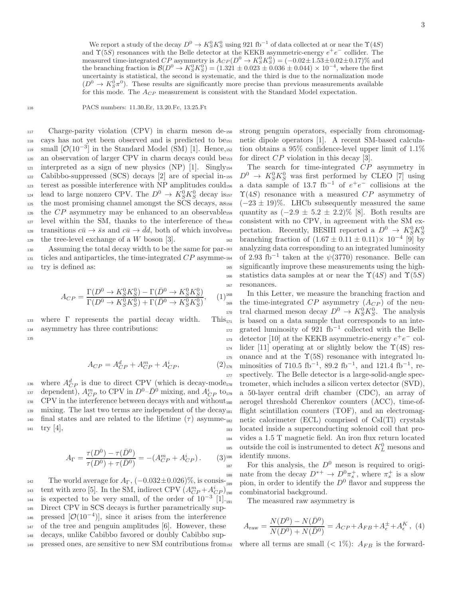We report a study of the decay  $D^0 \to K_S^0 K_S^0$  using 921 fb<sup>-1</sup> of data collected at or near the  $\Upsilon(4S)$ and  $\Upsilon(5S)$  resonances with the Belle detector at the KEKB asymmetric-energy  $e^+e^-$  collider. The measured time-integrated CP asymmetry is  $A_{CP}(D^0 \to K_S^0 K_S^0) = (-0.02 \pm 1.53 \pm 0.02 \pm 0.17)\%$  and the branching fraction is  $\mathcal{B}(D^0 \to K_S^0 K_S^0) = (1.321 \pm 0.023 \pm 0.036 \pm 0.044) \times 10^{-4}$ , where the first uncertainty is statistical, the second is systematic, and the third is due to the normalization mode  $(D^0 \to K_S^0 \pi^0)$ . These results are significantly more precise than previous measurements available for this mode. The  $A_{CP}$  measurement is consistent with the Standard Model expectation.

<sup>116</sup> PACS numbers: 11.30.Er, 13.20.Fc, 13.25.Ft

 Charge-parity violation (CPV) in charm meson de- cays has not yet been observed and is predicted to be 119 small  $[O(10^{-3}]$  in the Standard Model (SM) [1]. Hence, an observation of larger CPV in charm decays could be  $_{121}$  interpreted as a sign of new physics (NP) [1]. Singly<sub>154</sub> Cabibbo-suppressed (SCS) decays [2] are of special in- terest as possible interference with NP amplitudes could <sup>124</sup> lead to large nonzero CPV. The  $D^0 \to K_S^0 K_S^0$  decay is the most promising channel amongst the SCS decays, as the  $CP$  asymmetry may be enhanced to an observable level within the SM, thanks to the interference of the transitions  $c\bar{u} \to \bar{s}s$  and  $c\bar{u} \to \bar{d}d$ , both of which involves  $_{129}$  the tree-level exchange of a W boson [3].

130 Assuming the total decay width to be the same for par-163  $_{131}$  ticles and antiparticles, the time-integrated  $CP$  asymme-164 <sup>132</sup> try is defined as:

$$
A_{CP} = \frac{\Gamma(D^0 \to K_S^0 K_S^0) - \Gamma(\bar{D}^0 \to K_S^0 K_S^0)}{\Gamma(D^0 \to K_S^0 K_S^0) + \Gamma(\bar{D}^0 \to K_S^0 K_S^0)},
$$
 (1)

133 where  $\Gamma$  represents the partial decay width. This<sub>171</sub> <sup>134</sup> asymmetry has three contributions: 135

$$
A_{CP} = A_{CP}^d + A_{CP}^m + A_{CP}^i,
$$
\n(2)<sub>1</sub>

<sup>136</sup> where  $A_{CP}^d$  is due to direct CPV (which is decay-mode <sup>137</sup> dependent),  $A_{CP}^{m}$  to CPV in  $D^{0}$ - $\bar{D}^{\dot{0}}$  mixing, and  $A_{CP}^{i}$  to  $138$  CPV in the interference between decays with and without<sub>180</sub>  $_{139}$  mixing. The last two terms are independent of the decay<sub>181</sub>  $_{140}$  final states and are related to the lifetime  $(\tau)$  asymme- $_{182}$  $141$  try [4],

$$
A_{\Gamma} = \frac{\tau(D^0) - \tau(\bar{D}^0)}{\tau(D^0) + \tau(\bar{D}^0)} = -(A_{CP}^m + A_{CP}^i). \tag{3}_{18}
$$

142 The world average for  $A_{\Gamma}$ ,  $(-0.032 \pm 0.026)\%$ , is consis-<sub>189</sub> tent with zero [5]. In the SM, indirect CPV  $(A_{CP}^m + A_{CP}^i)$  $_{144}$  is expected to be very small, of the order of 10<sup>-3</sup> [1]. <sup>145</sup> Direct CPV in SCS decays is further parametrically sup-146 pressed  $[O(10^{-4})]$ , since it arises from the interference <sup>147</sup> of the tree and penguin amplitudes [6]. However, these <sup>148</sup> decays, unlike Cabibbo favored or doubly Cabibbo sup-<sup>149</sup> pressed ones, are sensitive to new SM contributions from strong penguin operators, especially from chromomagnetic dipole operators [1]. A recent SM-based calculation obtains a  $95\%$  confidence-level upper limit of  $1.1\%$ for direct  $CP$  violation in this decay [3].

The search for time-integrated  $\mathbb{CP}$  asymmetry in <sup>155</sup>  $D^0 \rightarrow K_S^0 K_S^0$  was first performed by CLEO [7] using <sup>156</sup> a data sample of 13.7 fb<sup>-1</sup> of  $e^+e^-$  collisions at the  $\Upsilon(4S)$  resonance with a measured CP asymmetry of  $(-23 \pm 19)\%$ . LHCb subsequently measured the same quantity as  $(-2.9 \pm 5.2 \pm 2.2)\%$  [8]. Both results are consistent with no CPV, in agreement with the SM expectation. Recently, BESIII reported a  $D^0 \rightarrow K_S^0 K_S^0$  $_{162}$  branching fraction of  $(1.67 \pm 0.11 \pm 0.11) \times 10^{-4}$  [9] by analyzing data corresponding to an integrated luminosity <sup>164</sup> of 2.93 fb<sup>-1</sup> taken at the  $\psi(3770)$  resonance. Belle can <sup>165</sup> significantly improve these measurements using the high-166 statistics data samples at or near the  $\Upsilon(4S)$  and  $\Upsilon(5S)$ <sup>167</sup> resonances.

<sup>168</sup> In this Letter, we measure the branching fraction and the time-integrated CP asymmetry  $(A_{CP})$  of the neu-<sup>170</sup> tral charmed meson decay  $D^0 \to K_S^0 K_S^0$ . The analysis is based on a data sample that corresponds to an inte- $172$  grated luminosity of 921 fb<sup>-1</sup> collected with the Belle 173 detector [10] at the KEKB asymmetric-energy  $e^+e^-$  col- $_{174}$  lider [11] operating at or slightly below the  $\Upsilon(4S)$  res- $175$  onance and at the  $\Upsilon(5S)$  resonance with integrated lu- $_{176}$  minosities of 710.5 fb<sup>-1</sup>, 89.2 fb<sup>-1</sup>, and 121.4 fb<sup>-1</sup>, re-<sup>177</sup> spectively. The Belle detector is a large-solid-angle spectrometer, which includes a silicon vertex detector (SVD), a 50-layer central drift chamber (CDC), an array of aerogel threshold Cherenkov counters (ACC), time-offlight scintillation counters  $(TOF)$ , and an electromagnetic calorimeter  $(ECL)$  comprised of  $CsI(Tl)$  crystals <sup>183</sup> located inside a superconducting solenoid coil that pro-<sup>184</sup> vides a 1.5 T magnetic field. An iron flux return located <sup>185</sup> outside the coil is instrumented to detect  $K_L^0$  mesons and <sup>36</sup> identify muons.

 $187$  For this analysis, the  $D^0$  meson is required to origi-<sup>188</sup> nate from the decay  $D^{*+} \to D^0 \pi_s^+$ , where  $\pi_s^+$  is a slow 189 pion, in order to identify the  $D^0$  flavor and suppress the combinatorial background.

The measured raw asymmetry is

$$
A_{\text{raw}} = \frac{N(D^0) - N(\bar{D}^0)}{N(D^0) + N(\bar{D}^0)} = A_{CP} + A_{FB} + A_{\epsilon}^{\pm} + A_{\epsilon}^K, \tag{4}
$$

where all terms are small  $(< 1\%)$ :  $A_{FB}$  is the forward-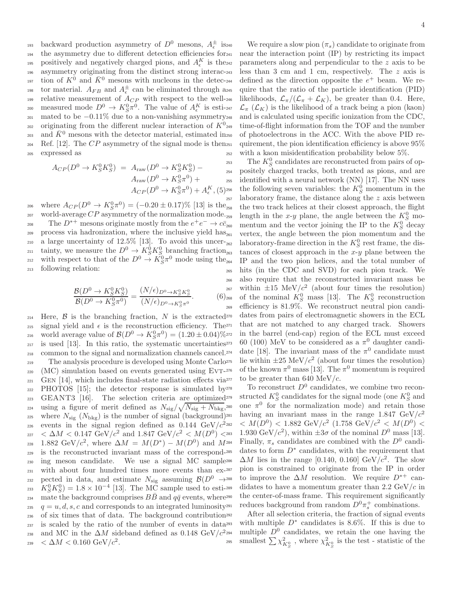<sup>193</sup> backward production asymmetry of  $D^0$  mesons,  $A_{\epsilon}^{\pm}$  is <sup>194</sup> the asymmetry due to different detection efficiencies for 195 positively and negatively charged pions, and  $A_{\epsilon}^{K}$  is the <sup>196</sup> asymmetry originating from the distinct strong interac-<sup>197</sup> tion of  $K^0$  and  $\bar{K}^0$  mesons with nucleons in the detec-<sup>198</sup> tor material.  $A_{FB}$  and  $A_{\epsilon}^{\pm}$  can be eliminated through as 199 relative measurement of  $A_{CP}$  with respect to the well-200 measured mode  $D^0 \to K_S^0 \pi^0$ . The value of  $A_\epsilon^K$  is esti-<sup>201</sup> mated to be −0.11% due to a non-vanishing asymmetry originating from the different nuclear interaction of  $K^0$ <sub>249</sub> 202 203 and  $\bar{K}^0$  mesons with the detector material, estimated in<sub>250</sub> 204 Ref. [12]. The  $CP$  asymmetry of the signal mode is then 251 <sup>205</sup> expressed as

$$
A_{CP}(D^0 \to K_S^0 K_S^0) = A_{\text{raw}}(D^0 \to K_S^0 K_S^0) - A_{\text{raw}}(D^0 \to K_S^0 \pi^0) + A_{\text{ex}}(D^0 \to K_S^0 \pi^0) + A_{\text{ex}}^K (5)^{256}
$$

206 where  $A_{CP}(D^0 \to K_S^0 \pi^0) = (-0.20 \pm 0.17)\%$  [13] is the 207 world-average  $CP$  asymmetry of the normalization mode. 208 The  $D^{*+}$  mesons originate mostly from the  $e^+e^- \to c\bar{c}$  $209$  process via hadronization, where the inclusive yield has <sup>210</sup> a large uncertainty of 12.5% [13]. To avoid this uncer-<sub>262</sub> <sup>211</sup> tainty, we measure the  $D^0 \to K_S^0 K_S^0$  branching fraction <sup>212</sup> with respect to that of the  $D^0 \stackrel{\sim}{\rightarrow} K_S^0 \pi^0$  mode using the <sup>213</sup> following relation:

$$
\frac{\mathcal{B}(D^0 \to K_S^0 K_S^0)}{\mathcal{B}(D^0 \to K_S^0 \pi^0)} = \frac{(N/\epsilon)_{D^0 \to K_S^0 K_S^0}}{(N/\epsilon)_{D^0 \to K_S^0 \pi^0}}.
$$
(6)<sub>26</sub>

214 Here,  $\beta$  is the branching fraction, N is the extracted 270 215 signal yield and  $\epsilon$  is the reconstruction efficiency. The<sup>271</sup> 216 world average value of  $\mathcal{B}(D^0 \to K_S^0 \pi^0) = (1.20 \pm 0.04)\%$ <sup>217</sup> is used [13]. In this ratio, the systematic uncertainties <sup>218</sup> common to the signal and normalization channels cancel. <sup>219</sup> The analysis procedure is developed using Monte Carlo<sup>275</sup>  $220$  (MC) simulation based on events generated using EVT- $276$  $_{221}$  GEN [14], which includes final-state radiation effects via<sup> $277$ </sup>  $222$  PHOTOS [15]; the detector response is simulated by  $278$ <sup>223</sup> GEANT3 [16]. The selection criteria are optimized <sup>224</sup> using a figure of merit defined as  $N_{\text{sig}}/\sqrt{N_{\text{sig}}+N_{\text{bkg}}},$ 225 where  $N_{\text{sig}}(N_{\text{bkg}})$  is the number of signal (background)<sup>281</sup> events in the signal region defined as  $0.144 \text{ GeV}/c^2$ 226 227 < ∆M < 0.147 GeV/ $c^2$  and 1.847 GeV/ $c^2$  <  $M(D^0)$  < 228 1.882 GeV/ $c^2$ , where  $\Delta M = M(D^*) - M(D^0)$  and M <sup>229</sup> is the reconstructed invariant mass of the correspond-<sup>230</sup> ing meson candidate. We use a signal MC sample <sup>231</sup> with about four hundred times more events than ex-232 pected in data, and estimate  $N_{\text{sig}}$  assuming  $\mathcal{B}(D^0 \rightarrow 2^{88})$ <sup>233</sup>  $K_S^0 K_S^0$  = 1.8 × 10<sup>-4</sup> [13]. The MC sample used to estimate the background comprises  $B\bar{B}$  and  $q\bar{q}$  events, where<sup>290</sup> <sup>235</sup>  $q=u, d, s, c$  and corresponds to an integrated luminosity<sup>291</sup> <sup>236</sup> of six times that of data. The background contribution <sup>237</sup> is scaled by the ratio of the number of events in data and MC in the  $\Delta M$  sideband defined as 0.148 GeV/ $c^2$ 238 239  $\epsilon \Delta M < 0.160 \text{ GeV}/c^2$ .

We require a slow pion  $(\pi_s)$  candidate to originate from near the interaction point  $(IP)$  by restricting its impact parameters along and perpendicular to the  $z$  axis to be less than 3 cm and 1 cm, respectively. The  $z$  axis is  $_{244}$  defined as the direction opposite the  $e^+$  beam. We require that the ratio of the particle identification (PID) likelihoods,  $\mathcal{L}_{\pi}/(\mathcal{L}_{\pi} + \mathcal{L}_K)$ , be greater than 0.4. Here,  $\mathcal{L}_{\pi}(\mathcal{L}_K)$  is the likelihood of a track being a pion (kaon) and is calculated using specific ionization from the CDC, time-of-flight information from the TOF and the number of photoelectrons in the ACC. With the above PID requirement, the pion identification efficiency is above  $95\%$ with a kaon misidentification probability below  $5\%$ .

<sup>253</sup> The  $K_S^0$  candidates are reconstructed from pairs of oppositely charged tracks, both treated as pions, and are identified with a neural network  $(NN)$  [17]. The NN uses <sup>256</sup> the following seven variables: the  $K_S^0$  momentum in the laboratory frame, the distance along the  $z$  axis between the two track helices at their closest approach, the flight length in the x-y plane, the angle between the  $K_S^0$  momentum and the vector joining the IP to the  $K_S^0$  decay vertex, the angle between the pion momentum and the 262 laboratory-frame direction in the  $K_S^0$  rest frame, the distances of closest approach in the  $x-y$  plane between the IP and the two pion helices, and the total number of <sup>265</sup> hits (in the CDC and SVD) for each pion track. We <sup>266</sup> also require that the reconstructed invariant mass be 267 within  $\pm 15 \text{ MeV}/c^2$  (about four times the resolution) <sup>268</sup> of the nominal  $K_S^0$  mass [13]. The  $K_S^0$  reconstruction <sup>269</sup> efficiency is 81.9%. We reconstruct neutral pion candidates from pairs of electromagnetic showers in the ECL that are not matched to any charged track. Showers <sup>272</sup> in the barrel (end-cap) region of the ECL must exceed <sup>273</sup> 60 (100) MeV to be considered as a  $\pi^0$  daughter candi-<sup>274</sup> date [18]. The invariant mass of the  $\pi^0$  candidate must 275 lie within  $\pm 25 \text{ MeV}/c^2$  (about four times the resolution) <sup>276</sup> of the known  $\pi^0$  mass [13]. The  $\pi^0$  momentum is required to be greater than 640 MeV/c.

 $_{278}$  To reconstruct  $D^0$  candidates, we combine two recon-<sup>279</sup> structed  $K_S^0$  candidates for the signal mode (one  $K_S^0$  and 280 one  $\pi^0$  for the normalization mode) and retain those having an invariant mass in the range 1.847  $\text{GeV}/c^2$  $_{282}$   $\; < M(D^0) < 1.882 \; {\rm GeV}/c^2 \; (1.758 \; {\rm GeV}/c^2 < M(D^0) < 1.882 \; {\rm GeV}/c^2)$ 283 1.930 GeV/ $c^2$ ), within  $\pm 3\sigma$  of the nominal  $D^0$  mass [13]. <sup>284</sup> Finally,  $\pi_s$  candidates are combined with the  $D^0$  candi-285 dates to form  $D^*$  candidates, with the requirement that 286  $\Delta M$  lies in the range [0.140, 0.160] GeV/ $c^2$ . The slow pion is constrained to originate from the IP in order to improve the  $\Delta M$  resolution. We require  $D^{*+}$  candidates to have a momentum greater than 2.2 GeV/c in the center-of-mass frame. This requirement significantly <sup>291</sup> reduces background from random  $D^0\pi_s^+$  combinations.

After all selection criteria, the fraction of signal events 293 with multiple  $D^*$  candidates is 8.6%. If this is due to <sup>294</sup> multiple  $D^0$  candidates, we retain the one having the <sup>295</sup> smallest  $\sum \chi^2_{K^0_S}$ , where  $\chi^2_{K^0_S}$  is the test - statistic of the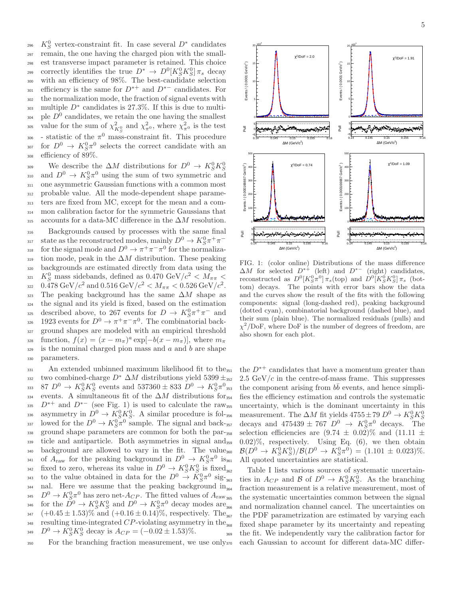<sup>296</sup> K<sup>0</sup><sub>S</sub> vertex-constraint fit. In case several  $D^*$  candidates <sup>297</sup> remain, the one having the charged pion with the small-<sup>298</sup> est transverse impact parameter is retained. This choice correctly identifies the true  $D^* \to D^0[K_S^0 K_S^0] \pi_s$  decay <sup>300</sup> with an efficiency of 98%. The best-candidate selection  $\sum_{n=1}^{\infty}$  efficiency is the same for  $D^{*+}$  and  $D^{*-}$  candidates. For <sup>302</sup> the normalization mode, the fraction of signal events with  $_{303}$  multiple  $D^*$  candidates is 27.3%. If this is due to multi- $_{304}$  ple  $D^0$  candidates, we retain the one having the smallest <sup>305</sup> value for the sum of  $\chi^2_{K^0_S}$  and  $\chi^2_{\pi^0}$ , where  $\chi^2_{\pi^0}$  is the test <sup>306</sup> - statistic of the  $\pi^0$  mass-constraint fit. This procedure <sup>307</sup> for  $D^0 \to K_S^0 \pi^0$  selects the correct candidate with an <sup>308</sup> efficiency of 89%.

We describe the  $\Delta M$  distributions for  $D^0 \to K_S^0 K_S^0$ 309 310 and  $D^0 \to K_S^0 \pi^0$  using the sum of two symmetric and <sup>311</sup> one asymmetric Gaussian functions with a common most <sup>312</sup> probable value. All the mode-dependent shape parame-<sup>313</sup> ters are fixed from MC, except for the mean and a com-<sup>314</sup> mon calibration factor for the symmetric Gaussians that 315 accounts for a data-MC difference in the  $\Delta M$  resolution.

<sup>316</sup> Backgrounds caused by processes with the same final state as the reconstructed modes, mainly  $D^0 \to K_S^0 \pi^+ \pi^-$ 318 for the signal mode and  $D^0 \to \pi^+ \pi^- \pi^0$  for the normaliza- $319$  tion mode, peak in the  $\Delta M$  distribution. These peaking <sup>320</sup> backgrounds are estimated directly from data using the <sup>321</sup> K<sub>S</sub><sup>0</sup> mass sidebands, defined as 0.470 GeV/ $c^2 < M_{\pi\pi}$  < 322 0.478 GeV/ $c^2$  and 0.516 GeV/ $c^2 < M_{\pi\pi} < 0.526$  GeV/ $c^2$ . 323 The peaking background has the same  $\Delta M$  shape as <sup>324</sup> the signal and its yield is fixed, based on the estimation 325 described above, to 267 events for  $D \to K_S^0 \pi^+ \pi^-$  and 326 1923 events for  $D^0 \to \pi^+ \pi^- \pi^0$ . The combinatorial back-<sup>327</sup> ground shapes are modeled with an empirical threshold  $f(x) = (x - m_\pi)^a \exp[-b(x - m_\pi)],$  where  $m_\pi$  $329$  is the nominal charged pion mass and a and b are shape <sup>330</sup> parameters.

 $331$  An extended unbinned maximum likelihood fit to the  $351$ 332 two combined-charge  $D^* \Delta M$  distributions yield 5399  $\pm_{352}$  $87\ D^0 \to K_S^0 K_S^0$  events and  $537360 \pm 833\ D^0 \to K_S^0 \pi^0$ 333 334 events. A simultaneous fit of the  $\Delta M$  distributions for<sub>354</sub>  $D^{*+}$  and  $D^{*-}$  (see Fig. 1) is used to calculate the raw<sub>355</sub> 336 asymmetry in  $D^0 \to \overline{K}^0_S \overline{K}^0_S$ . A similar procedure is fol-<sup>337</sup> lowed for the  $D^0 \to K_S^0 \pi^0$  sample. The signal and back-338 ground shape parameters are common for both the par-358 <sup>339</sup> ticle and antiparticle. Both asymmetries in signal and <sup>340</sup> background are allowed to vary in the fit. The value <sup>341</sup> of  $A_{\text{raw}}$  for the peaking background in  $D^0 \to K_S^0 \pi^0$  is <sup>342</sup> fixed to zero, whereas its value in  $D^0 \to K_S^0 K_S^0$  is fixed <sup>343</sup> to the value obtained in data for the  $D^0 \stackrel{\sim}{\rightarrow} \tilde{K}_S^0 \pi^0$  sig- $_{344}$  nal. Here we assume that the peaking background in<sub>364</sub> <sup>345</sup>  $D^0 \to K_S^0 \pi^0$  has zero net- $A_{CP}$ . The fitted values of  $A_{raw}$ <sup>346</sup> for the  $\tilde{D}^0 \to K_S^0 K_S^0$  and  $D^0 \to K_S^0 \pi^0$  decay modes are 347  $(+0.45 \pm 1.53)\%$  and  $(+0.16 \pm 0.14)\%$ , respectively. The  $1448$  resulting time-integrated CP-violating asymmetry in the  $168$  $D^0 \to K_S^0 K_S^0$  decay is  $A_{CP} = (-0.02 \pm 1.53)\%$ . 356

<sup>350</sup> For the branching fraction measurement, we use only



FIG. 1: (color online) Distributions of the mass difference  $\Delta M$  for selected  $D^{*+}$  (left) and  $D^{*-}$  (right) candidates, reconstructed as  $D^0[K_S^0 \pi^0/\pi_s(\text{top})$  and  $D^0[K_S^0 K_S^0/\pi_s(\text{bot-})]$ tom) decays. The points with error bars show the data and the curves show the result of the fits with the following components: signal (long-dashed red), peaking background (dotted cyan), combinatorial background (dashed blue), and their sum (plain blue). The normalized residuals (pulls) and  $\chi^2/\text{DoF}$ , where DoF is the number of degrees of freedom, are also shown for each plot.

the  $D^{*+}$  candidates that have a momentum greater than  $2.5 \text{ GeV}/c$  in the centre-of-mass frame. This suppresses <sup>353</sup> the component arising from  $b\bar{b}$  events, and hence simplifies the efficiency estimation and controls the systematic <sup>355</sup> uncertainty, which is the dominant uncertainty in this measurement. The  $\Delta M$  fit yields  $4755 \pm 79 D^0 \rightarrow K_S^0 K_S^0$ <sup>357</sup> decays and  $475439 \pm 767$   $D^0 \rightarrow K_S^0 \pi^0$  decays. The selection efficiencies are  $(9.74 \pm 0.02)\%$  and  $(11.11 \pm 1.01)\%$  $(0.02)\%$ , respectively. Using Eq.  $(6)$ , we then obtain 360  $\mathcal{B}(D^0 \to K_S^0 K_S^0)/\mathcal{B}(D^0 \to K_S^0 \pi^0) = (1.101 \pm 0.023)\%.$ All quoted uncertainties are statistical.

Table I lists various sources of systematic uncertain-363 ties in  $A_{CP}$  and B of  $D^0 \to K_S^0 K_S^0$ . As the branching fraction measurement is a relative measurement, most of the systematic uncertainties common between the signal and normalization channel cancel. The uncertainties on the PDF parametrization are estimated by varying each fixed shape parameter by its uncertainty and repeating <sup>369</sup> the fit. We independently vary the calibration factor for each Gaussian to account for different data-MC differ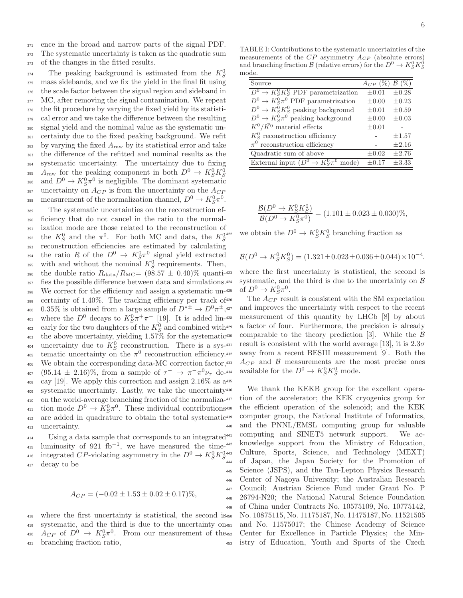<sup>371</sup> ence in the broad and narrow parts of the signal PDF.

<sup>372</sup> The systematic uncertainty is taken as the quadratic sum <sup>373</sup> of the changes in the fitted results.

The peaking background is estimated from the  $K_S^0$ 374 mass sidebands, and we fix the yield in the final fit using the scale factor between the signal region and sideband in MC, after removing the signal contamination. We repeat the fit procedure by varying the fixed yield by its statisti- cal error and we take the difference between the resulting signal yield and the nominal value as the systematic un- certainty due to the fixed peaking background. We refit by varying the fixed  $A_{\text{raw}}$  by its statistical error and take the difference of the refitted and nominal results as the systematic uncertainty. The uncertainty due to fixing  $A_{\text{raw}}$  for the peaking component in both  $D^0 \to K_S^0 K_S^0$ 385 386 and  $D^0 \to K_S^0 \pi^0$  is negligible. The dominant systematic uncertainty on  $A_{CP}$  is from the uncertainty on the  $A_{CP}$ 388 measurement of the normalization channel,  $D^0 \to K_S^0 \pi^0$ .

<sup>389</sup> The systematic uncertainties on the reconstruction ef-<sup>390</sup> ficiency that do not cancel in the ratio to the normal-<sup>391</sup> ization mode are those related to the reconstruction of the  $K_S^0$  and the  $\pi^0$ . For both MC and data, the  $K_S^0$ 392 <sup>393</sup> reconstruction efficiencies are estimated by calculating <sup>394</sup> the ratio R of the  $D^0 \rightarrow K_S^0 \pi^0$  signal yield extracted <sup>395</sup> with and without the nominal  $K_S^0$  requirements. Then, 396 the double ratio  $R_{data}/R_{MC} = (98.57 \pm 0.40)\%$  quanti-423 397 fies the possible difference between data and simulations.<sup>424</sup> <sup>398</sup> We correct for the efficiency and assign a systematic un-<sup>425</sup>  $399$  certainty of 1.40%. The tracking efficiency per track of  $426$ 400 0.35% is obtained from a large sample of  $D^{*\pm} \to D^0 \pi^{\pm}$ , 401 where the  $D^0$  decays to  $K^0_S \pi^+ \pi^-$  [19]. It is added lin-<sup>402</sup> early for the two daughters of the  $K_S^0$  and combined with <sup>403</sup> the above uncertainty, yielding 1.57% for the systematic 404 uncertainty due to  $K_S^0$  reconstruction. There is a sys- $\frac{1}{405}$  tematic uncertainty on the  $\pi^0$  reconstruction efficiency. 406 We obtain the corresponding data-MC correction factor, 433 <sup>407</sup> (95.14 ± 2.16)%, from a sample of  $\tau^-$  →  $\pi^- \pi^0 \nu_\tau$  de-<sup>408</sup> cay [19]. We apply this correction and assign  $2.16\%$  as  $a^{435}$ <sup>409</sup> systematic uncertainty. Lastly, we take the uncertainty <sup>410</sup> on the world-average branching fraction of the normaliza-<sup>411</sup> tion mode  $D^0 \to \overline{K^0_S} \pi^0$ . These individual contributions <sup>412</sup> are added in quadrature to obtain the total systematic <sup>413</sup> uncertainty.

<sup>414</sup> Using a data sample that corresponds to an integrated<sup>441</sup>  $_{415}$  luminosity of 921 fb<sup>-1</sup>, we have measured the timeintegrated CP-violating asymmetry in the  $D^0 \to K_S^0 K_S^0$ 416 <sup>417</sup> decay to be

$$
A_{CP} = (-0.02 \pm 1.53 \pm 0.02 \pm 0.17)\%,
$$

 where the first uncertainty is statistical, the second is systematic, and the third is due to the uncertainty on <sup>420</sup>  $A_{CP}$  of  $D^0 \rightarrow K_S^0 \pi^0$ . From our measurement of the branching fraction ratio,

| Source                                              | $A_{CP}$ (%) $\beta$ (%) |            |
|-----------------------------------------------------|--------------------------|------------|
| $D^0 \to K_S^0 K_S^0$ PDF parametrization           | $\pm 0.01$               | $\pm 0.28$ |
| $D^0 \to K_S^0 \pi^0$ PDF parametrization           | $\pm 0.00$               | $\pm 0.23$ |
| $D^0 \to K_S^0 K_S^0$ peaking background            | $\pm 0.01$               | $\pm 0.59$ |
| $D^0 \to K_S^0 \pi^0$ peaking background            | $\pm 0.00$               | $\pm 0.03$ |
| $K^0/\bar{K^0}$ material effects                    | $\pm 0.01$               |            |
| $K_S^0$ reconstruction efficiency                   |                          | $\pm 1.57$ |
| $\pi^0$ reconstruction efficiency                   |                          | $\pm 2.16$ |
| Quadratic sum of above                              | $+0.02$                  | $\pm 2.76$ |
| External input $(D^0 \to K_S^0 \pi^0 \text{ mode})$ | $+0.17$                  | $\pm 3.33$ |

$$
\frac{\mathcal{B}(D^0 \to K_S^0 K_S^0)}{\mathcal{B}(D^0 \to K_S^0 \pi^0)} = (1.101 \pm 0.023 \pm 0.030)\%,
$$

<sup>422</sup> we obtain the  $D^0 \to K_S^0 K_S^0$  branching fraction as

$$
\mathcal{B}(D^0 \to K_S^0 K_S^0) = (1.321 \pm 0.023 \pm 0.036 \pm 0.044) \times 10^{-4}.
$$

where the first uncertainty is statistical, the second is systematic, and the third is due to the uncertainty on  $\beta$ 425 of  $D^0 \to K_S^0 \pi^0$ .

The  $A_{CP}$  result is consistent with the SM expectation and improves the uncertainty with respect to the recent measurement of this quantity by LHCb [8] by about a factor of four. Furthermore, the precision is already comparable to the theory prediction [3]. While the  $\beta$ result is consistent with the world average [13], it is  $2.3\sigma$ away from a recent BESIII measurement [9]. Both the  $A_{CP}$  and B measurements are the most precise ones <sup>434</sup> available for the  $D^0 \to K_S^0 K_S^0$  mode.

We thank the KEKB group for the excellent operation of the accelerator; the KEK cryogenics group for the efficient operation of the solenoid; and the KEK computer group, the National Institute of Informatics, and the PNNL/EMSL computing group for valuable computing and SINET5 network support. We acknowledge support from the Ministry of Education, Culture, Sports, Science, and Technology (MEXT) <sup>444</sup> of Japan, the Japan Society for the Promotion of <sup>445</sup> Science (JSPS), and the Tau-Lepton Physics Research <sup>446</sup> Center of Nagoya University; the Australian Research <sup>447</sup> Council; Austrian Science Fund under Grant No. P <sup>448</sup> 26794-N20; the National Natural Science Foundation <sup>449</sup> of China under Contracts No. 10575109, No. 10775142, <sup>450</sup> No. 10875115, No. 11175187, No. 11475187, No. 11521505 and No. 11575017; the Chinese Academy of Science Center for Excellence in Particle Physics; the Min-<sup>453</sup> istry of Education, Youth and Sports of the Czech